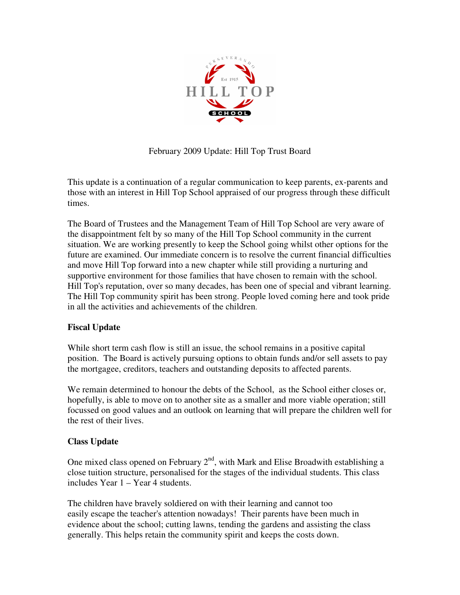

February 2009 Update: Hill Top Trust Board

This update is a continuation of a regular communication to keep parents, ex-parents and those with an interest in Hill Top School appraised of our progress through these difficult times.

The Board of Trustees and the Management Team of Hill Top School are very aware of the disappointment felt by so many of the Hill Top School community in the current situation. We are working presently to keep the School going whilst other options for the future are examined. Our immediate concern is to resolve the current financial difficulties and move Hill Top forward into a new chapter while still providing a nurturing and supportive environment for those families that have chosen to remain with the school. Hill Top's reputation, over so many decades, has been one of special and vibrant learning. The Hill Top community spirit has been strong. People loved coming here and took pride in all the activities and achievements of the children.

## **Fiscal Update**

While short term cash flow is still an issue, the school remains in a positive capital position. The Board is actively pursuing options to obtain funds and/or sell assets to pay the mortgagee, creditors, teachers and outstanding deposits to affected parents.

We remain determined to honour the debts of the School, as the School either closes or, hopefully, is able to move on to another site as a smaller and more viable operation; still focussed on good values and an outlook on learning that will prepare the children well for the rest of their lives.

## **Class Update**

One mixed class opened on February  $2<sup>nd</sup>$ , with Mark and Elise Broadwith establishing a close tuition structure, personalised for the stages of the individual students. This class includes Year 1 – Year 4 students.

The children have bravely soldiered on with their learning and cannot too easily escape the teacher's attention nowadays! Their parents have been much in evidence about the school; cutting lawns, tending the gardens and assisting the class generally. This helps retain the community spirit and keeps the costs down.